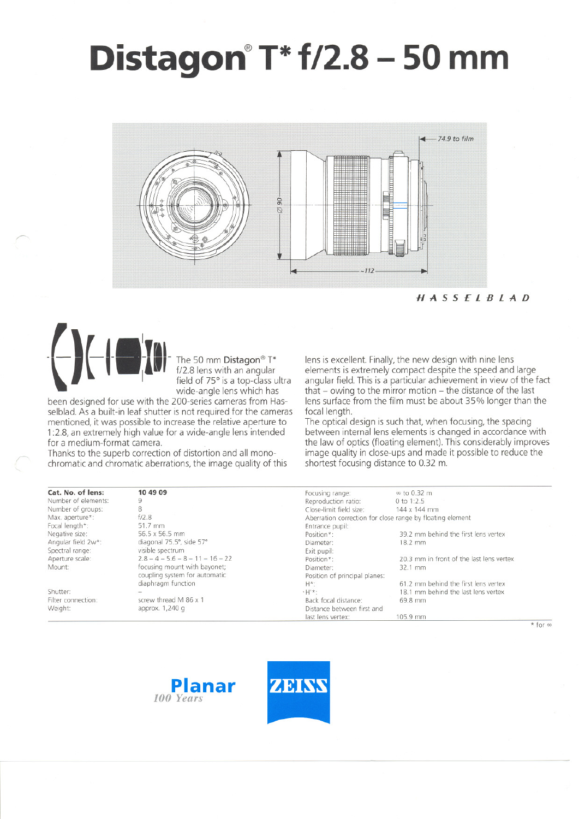# **Distagon@T\*f/2.8 - 50 mm**



HASSELBLAD



~

wide-angle lens which has

been designed for use with the 200-series cameras from Hasselblad. As a built-in leaf shutter is not required for the cameras mentioned, it was possible to increase the relative aperture to 1:2.8, an extremely high value for a wide-angle lens intended tor a medium-format camera.

Thanks to the superb correction of distortion and all monochromatic and chromatic aberrations, the image quality of this lens is excellent. Finally, the new design with nine lens elements is extremely compact despite the speed and large angular field. This is a particular achievement in view of the fact that  $-$  owing to the mirror motion  $-$  the distance of the last lens surface from the film must be about 35% longer than the focal length.

The optical design is such that, when focusing, the spacing between internal lens elements is changed in accordance with the law of optics (floating element). This considerably improves image quality in close-ups and made it possible to reduce the shortest focusing distance to 0.32 m.

| Cat. No. of lens:   | 10 49 09                           | Focusing range:                                           | $\infty$ to 0.32 m                       |  |
|---------------------|------------------------------------|-----------------------------------------------------------|------------------------------------------|--|
| Number of elements: |                                    | Reproduction ratio:                                       | 0 to $1:2.5$                             |  |
| Number of groups:   | 8                                  | Close-limit field size:                                   | 144 x 144 mm                             |  |
| Max. aperture*:     | f/2.8                              | Aberration correction for close range by floating element |                                          |  |
| Focal length*:      | 51.7 mm                            | Entrance pupil:                                           |                                          |  |
| Negative size:      | 56.5 x 56.5 mm                     | Position*:                                                | 39.2 mm behind the first lens vertex     |  |
| Angular field 2w*:  | diagonal 75.5°, side 57°           | Diameter:                                                 | $18.2$ mm                                |  |
| Spectral range:     | visible spectrum                   | Exit pupil:                                               |                                          |  |
| Aperture scale:     | $2.8 - 4 - 5.6 - 8 - 11 - 16 - 22$ | Position*:                                                | 20.3 mm in front of the last lens vertex |  |
| Mount:              | focusing mount with bayonet;       | Diameter:                                                 | 32.1 mm                                  |  |
|                     | coupling system for automatic      | Position of principal planes:                             |                                          |  |
|                     | diaphragm function                 | H*:                                                       | 61.2 mm behind the first lens vertex     |  |
| Shutter:            |                                    | $H'$ *:                                                   | 18.1 mm behind the last lens vertex      |  |
| Filter connection:  | screw thread M 86 x 1              | Back focal distance:                                      | 69.8 mm                                  |  |
| Weight:             | approx. 1,240 g                    | Distance between first and                                |                                          |  |
|                     |                                    | last lens vertex:                                         | 105.9 mm                                 |  |
|                     |                                    |                                                           | $*$ for                                  |  |





 $*$  for  $\infty$